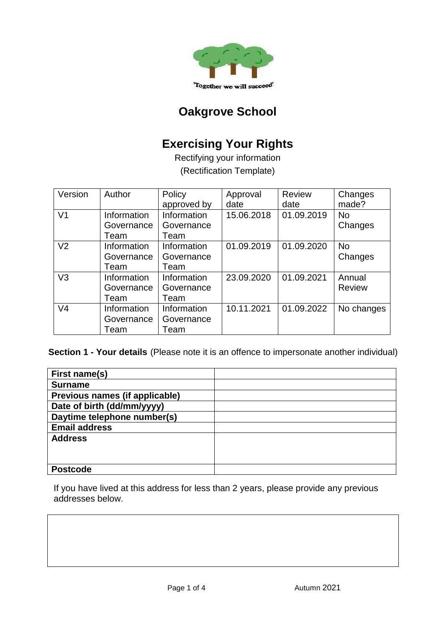

# **Oakgrove School**

# **Exercising Your Rights**

Rectifying your information (Rectification Template)

| Version        | Author                            | Policy<br>approved by             | Approval<br>date | Review<br>date | Changes<br>made?        |
|----------------|-----------------------------------|-----------------------------------|------------------|----------------|-------------------------|
| V <sub>1</sub> | Information<br>Governance<br>Team | Information<br>Governance<br>Team | 15.06.2018       | 01.09.2019     | <b>No</b><br>Changes    |
| V <sub>2</sub> | Information<br>Governance<br>Team | Information<br>Governance<br>Team | 01.09.2019       | 01.09.2020     | <b>No</b><br>Changes    |
| V <sub>3</sub> | Information<br>Governance<br>Team | Information<br>Governance<br>Team | 23.09.2020       | 01.09.2021     | Annual<br><b>Review</b> |
| V <sub>4</sub> | Information<br>Governance<br>Team | Information<br>Governance<br>Team | 10.11.2021       | 01.09.2022     | No changes              |

**Section 1 - Your details** (Please note it is an offence to impersonate another individual)

| First name(s)                  |  |
|--------------------------------|--|
| <b>Surname</b>                 |  |
| Previous names (if applicable) |  |
| Date of birth (dd/mm/yyyy)     |  |
| Daytime telephone number(s)    |  |
| <b>Email address</b>           |  |
| <b>Address</b>                 |  |
|                                |  |
|                                |  |
| <b>Postcode</b>                |  |

If you have lived at this address for less than 2 years, please provide any previous addresses below.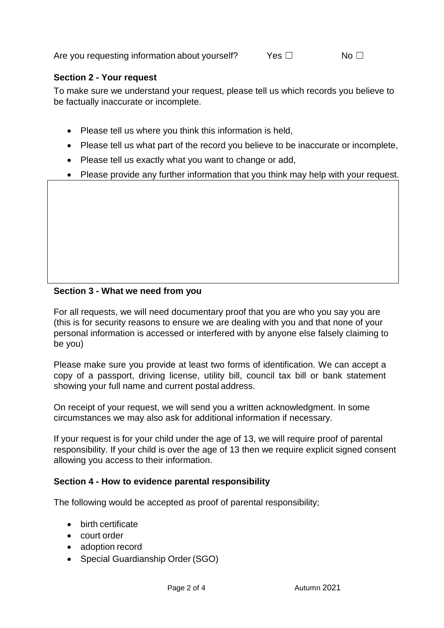Are you requesting information about vourself? Yes □ No □

### **Section 2 - Your request**

To make sure we understand your request, please tell us which records you believe to be factually inaccurate or incomplete.

- Please tell us where you think this information is held,
- Please tell us what part of the record you believe to be inaccurate or incomplete,
- Please tell us exactly what you want to change or add,
- Please provide any further information that you think may help with your request.

### **Section 3 - What we need from you**

For all requests, we will need documentary proof that you are who you say you are (this is for security reasons to ensure we are dealing with you and that none of your personal information is accessed or interfered with by anyone else falsely claiming to be you)

Please make sure you provide at least two forms of identification. We can accept a copy of a passport, driving license, utility bill, council tax bill or bank statement showing your full name and current postal address.

On receipt of your request, we will send you a written acknowledgment. In some circumstances we may also ask for additional information if necessary.

If your request is for your child under the age of 13, we will require proof of parental responsibility. If your child is over the age of 13 then we require explicit signed consent allowing you access to their information.

#### **Section 4 - How to evidence parental responsibility**

The following would be accepted as proof of parental responsibility;

- birth certificate
- court order
- adoption record
- Special Guardianship Order (SGO)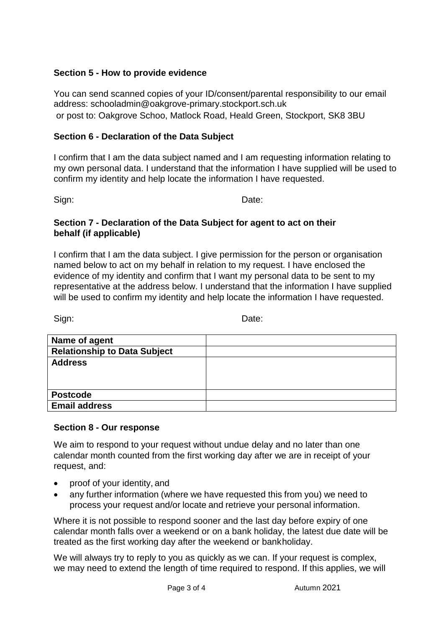#### **Section 5 - How to provide evidence**

You can send scanned copies of your ID/consent/parental responsibility to our email address: schooladmin@oakgrove-primary.stockport.sch.uk [o](mailto:dpa.officer@stockport.gov.uk)r post to: Oakgrove Schoo, Matlock Road, Heald Green, Stockport, SK8 3BU

#### **Section 6 - Declaration of the Data Subject**

I confirm that I am the data subject named and I am requesting information relating to my own personal data. I understand that the information I have supplied will be used to confirm my identity and help locate the information I have requested.

Sign: **Date:** Date:

#### **Section 7 - Declaration of the Data Subject for agent to act on their behalf (if applicable)**

I confirm that I am the data subject. I give permission for the person or organisation named below to act on my behalf in relation to my request. I have enclosed the evidence of my identity and confirm that I want my personal data to be sent to my representative at the address below. I understand that the information I have supplied will be used to confirm my identity and help locate the information I have requested.

Sign: **Date:** Date:

| Name of agent                       |  |
|-------------------------------------|--|
| <b>Relationship to Data Subject</b> |  |
| <b>Address</b>                      |  |
|                                     |  |
|                                     |  |
| <b>Postcode</b>                     |  |
| <b>Email address</b>                |  |

#### **Section 8 - Our response**

We aim to respond to your request without undue delay and no later than one calendar month counted from the first working day after we are in receipt of your request, and:

- proof of your identity, and
- any further information (where we have requested this from you) we need to process your request and/or locate and retrieve your personal information.

Where it is not possible to respond sooner and the last day before expiry of one calendar month falls over a weekend or on a bank holiday, the latest due date will be treated as the first working day after the weekend or bankholiday.

We will always try to reply to you as quickly as we can. If your request is complex, we may need to extend the length of time required to respond. If this applies, we will